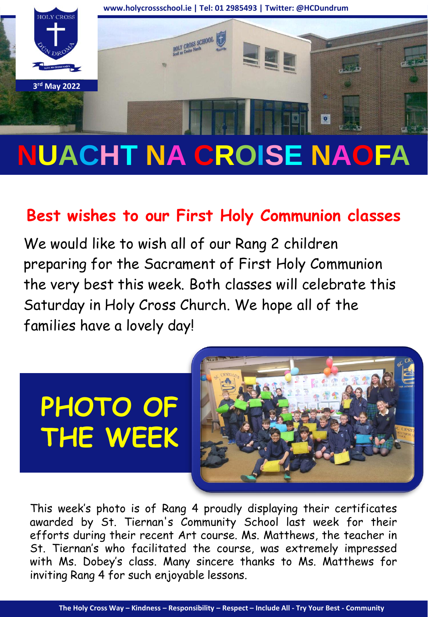

## **NUACHT NA CROISE NAOFA**

## **Best wishes to our First Holy Communion classes**

We would like to wish all of our Rang 2 children preparing for the Sacrament of First Holy Communion the very best this week. Both classes will celebrate this Saturday in Holy Cross Church. We hope all of the families have a lovely day!

# **PHOTO OF THE WEEK**



This week's photo is of Rang 4 proudly displaying their certificates awarded by St. Tiernan's Community School last week for their efforts during their recent Art course. Ms. Matthews, the teacher in St. Tiernan's who facilitated the course, was extremely impressed with Ms. Dobey's class. Many sincere thanks to Ms. Matthews for inviting Rang 4 for such enjoyable lessons.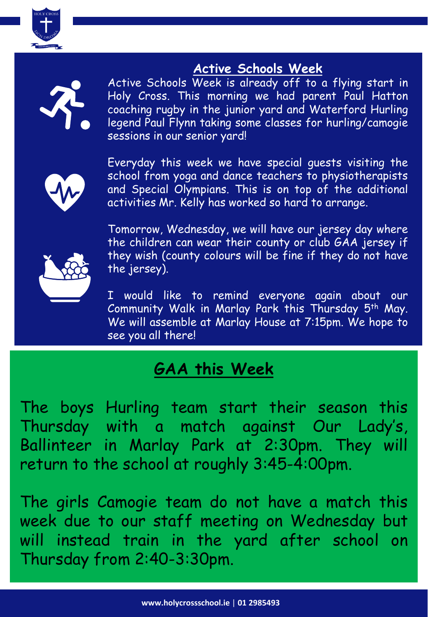

### **Active Schools Week**



Active Schools Week is already off to a flying start in Holy Cross. This morning we had parent Paul Hatton coaching rugby in the junior yard and Waterford Hurling legend Paul Flynn taking some classes for hurling/camogie sessions in our senior yard!



Everyday this week we have special guests visiting the school from yoga and dance teachers to physiotherapists and Special Olympians. This is on top of the additional activities Mr. Kelly has worked so hard to arrange.

Tomorrow, Wednesday, we will have our jersey day where the children can wear their county or club GAA jersey if they wish (county colours will be fine if they do not have the jersey).

I would like to remind everyone again about our Community Walk in Marlay Park this Thursday 5th May. We will assemble at Marlay House at 7:15pm. We hope to see you all there!

## **GAA this Week**

The boys Hurling team start their season this Thursday with a match against Our Lady's, Ballinteer in Marlay Park at 2:30pm. They will return to the school at roughly 3:45-4:00pm.

The girls Camogie team do not have a match this week due to our staff meeting on Wednesday but will instead train in the yard after school on Thursday from 2:40-3:30pm.